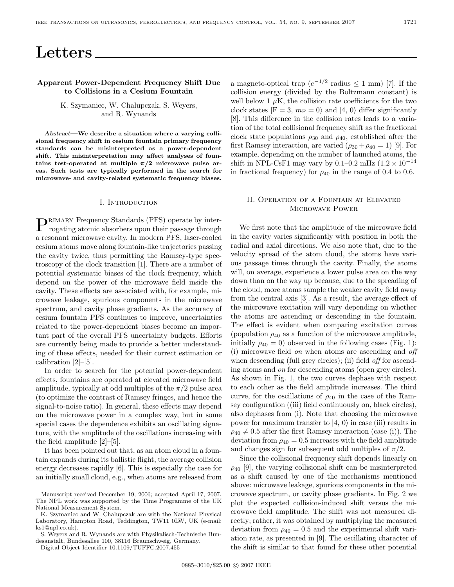# **Letters**

## **Apparent Power-Dependent Frequency Shift Due to Collisions in a Cesium Fountain**

## K. Szymaniec, W. Chalupczak, S. Weyers, and R. Wynands

*Abstract***—We describe a situation where a varying collisional frequency shift in cesium fountain primary frequency standards can be misinterpreted as a power-dependent shift. This misinterpretation may affect analyses of foun**tains test-operated at multiple  $\pi/2$  microwave pulse ar**eas. Such tests are typically performed in the search for microwave- and cavity-related systematic frequency biases.**

#### I. Introduction

PRIMARY Frequency Standards (PFS) operate by inter-<br>rogating atomic absorbers upon their passage through a resonant microwave cavity. In modern PFS, laser-cooled cesium atoms move along fountain-like trajectories passing the cavity twice, thus permitting the Ramsey-type spectroscopy of the clock transition [1]. There are a number of potential systematic biases of the clock frequency, which depend on the power of the microwave field inside the cavity. These effects are associated with, for example, microwave leakage, spurious components in the microwave spectrum, and cavity phase gradients. As the accuracy of cesium fountain PFS continues to improve, uncertainties related to the power-dependent biases become an important part of the overall PFS uncertainty budgets. Efforts are currently being made to provide a better understanding of these effects, needed for their correct estimation or calibration [2]–[5].

In order to search for the potential power-dependent effects, fountains are operated at elevated microwave field amplitude, typically at odd multiples of the  $\pi/2$  pulse area (to optimize the contrast of Ramsey fringes, and hence the signal-to-noise ratio). In general, these effects may depend on the microwave power in a complex way, but in some special cases the dependence exhibits an oscillating signature, with the amplitude of the oscillations increasing with the field amplitude [2]–[5].

It has been pointed out that, as an atom cloud in a fountain expands during its ballistic flight, the average collision energy decreases rapidly [6]. This is especially the case for an initially small cloud, e.g., when atoms are released from a magneto-optical trap  $(e^{-1/2} \text{ radius} \leq 1 \text{ mm})$  [7]. If the collision energy (divided by the Boltzmann constant) is well below 1  $\mu$ K, the collision rate coefficients for the two clock states  $|F = 3, m_F = 0\rangle$  and  $|4, 0\rangle$  differ significantly [8]. This difference in the collision rates leads to a variation of the total collisional frequency shift as the fractional clock state populations  $\rho_{30}$  and  $\rho_{40}$ , established after the first Ramsey interaction, are varied  $(\rho_{30} + \rho_{40} = 1)$  [9]. For example, depending on the number of launched atoms, the shift in NPL-CsF1 may vary by 0.1–0.2 mHz  $(1.2 \times 10^{-14}$ in fractional frequency) for  $\rho_{40}$  in the range of 0.4 to 0.6.

## II. Operation of a Fountain at Elevated Microwave Power

We first note that the amplitude of the microwave field in the cavity varies significantly with position in both the radial and axial directions. We also note that, due to the velocity spread of the atom cloud, the atoms have various passage times through the cavity. Finally, the atoms will, on average, experience a lower pulse area on the way down than on the way up because, due to the spreading of the cloud, more atoms sample the weaker cavity field away from the central axis [3]. As a result, the average effect of the microwave excitation will vary depending on whether the atoms are ascending or descending in the fountain. The effect is evident when comparing excitation curves (population  $\rho_{40}$  as a function of the microwave amplitude, initially  $\rho_{40} = 0$ ) observed in the following cases (Fig. 1): (i) microwave field on when atoms are ascending and off when descending (full grey circles); (ii) field *off* for ascending atoms and on for descending atoms (open grey circles). As shown in Fig. 1, the two curves dephase with respect to each other as the field amplitude increases. The third curve, for the oscillations of  $\rho_{40}$  in the case of the Ramsey configuration ((iii) field continuously on, black circles), also dephases from (i). Note that choosing the microwave power for maximum transfer to  $|4, 0\rangle$  in case (iii) results in  $\rho_{40} \neq 0.5$  after the first Ramsey interaction (case (i)). The deviation from  $\rho_{40} = 0.5$  increases with the field amplitude and changes sign for subsequent odd multiples of  $\pi/2$ .

Since the collisional frequency shift depends linearly on  $\rho_{40}$  [9], the varying collisional shift can be misinterpreted as a shift caused by one of the mechanisms mentioned above: microwave leakage, spurious components in the microwave spectrum, or cavity phase gradients. In Fig. 2 we plot the expected collision-induced shift versus the microwave field amplitude. The shift was not measured directly; rather, it was obtained by multiplying the measured deviation from  $\rho_{40} = 0.5$  and the experimental shift variation rate, as presented in [9]. The oscillating character of the shift is similar to that found for these other potential

Manuscript received December 19, 2006; accepted April 17, 2007. The NPL work was supported by the Time Programme of the UK National Measurement System.

K. Szymaniec and W. Chalupczak are with the National Physical Laboratory, Hampton Road, Teddington, TW11 0LW, UK (e-mail: ks1@npl.co.uk).

S. Weyers and R. Wynands are with Physikalisch-Technische Bundesanstalt, Bundesallee 100, 38116 Braunschweig, Germany.

Digital Object Identifier 10.1109/TUFFC.2007.455